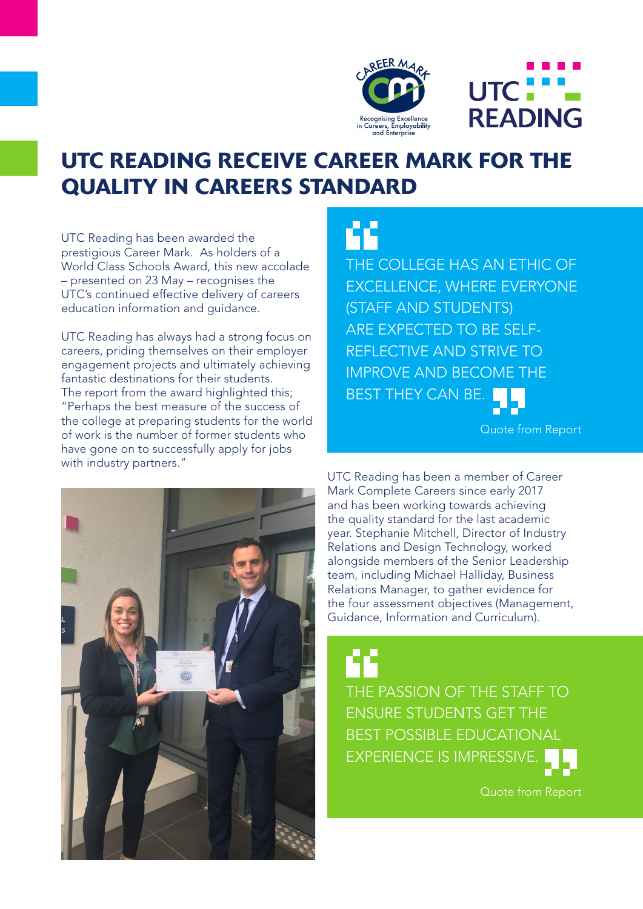



## UTC READING RECEIVE CAREER MARK FOR THE QUALITY IN CAREERS STANDARD

UTC Reading has been awarded the prestigious Career Mark. As holders of a World Class Schools Award, this new accolade – presented on 23 May – recognises the UTC's continued effective delivery of careers education information and guidance.

UTC Reading has always had a strong focus on careers, priding themselves on their employer engagement projects and ultimately achieving fantastic destinations for their students. The report from the award highlighted this; "Perhaps the best measure of the success of the college at preparing students for the world of work is the number of former students who have gone on to successfully apply for jobs with industry partners."

THE COLLEGE HAS AN ETHIC OF EXCELLENCE, WHERE EVERYONE (STAFF AND STUDENTS) ARE EXPECTED TO BE SELF-REFLECTIVE AND STRIVE TO IMPROVE AND BECOME THE BEST THEY CAN BE.

Quote from Report



UTC Reading has been a member of Career Mark Complete Careers since early 2017 and has been working towards achieving the quality standard for the last academic year. Stephanie Mitchell, Director of Industry Relations and Design Technology, worked alongside members of the Senior Leadership team, including Michael Halliday, Business Relations Manager, to gather evidence for the four assessment objectives (Management, Guidance, Information and Curriculum).

THE PASSION OF THE STAFF TO ENSURE STUDENTS GET THE BEST POSSIBLE EDUCATIONAL EXPERIENCE IS IMPRESSIVE.

Quote from Report